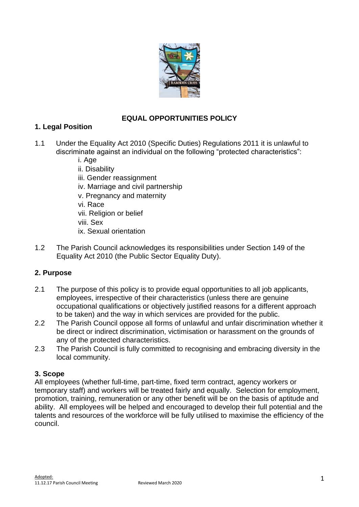

# **EQUAL OPPORTUNITIES POLICY**

### **1. Legal Position**

- 1.1 Under the Equality Act 2010 (Specific Duties) Regulations 2011 it is unlawful to discriminate against an individual on the following "protected characteristics":
	- i. Age
	- ii. Disability iii. Gender reassignment
	- iv. Marriage and civil partnership
	- v. Pregnancy and maternity
	- vi. Race
	- vii. Religion or belief
	- viii. Sex
	- ix. Sexual orientation
- 1.2 The Parish Council acknowledges its responsibilities under Section 149 of the Equality Act 2010 (the Public Sector Equality Duty).

## **2. Purpose**

- 2.1 The purpose of this policy is to provide equal opportunities to all job applicants, employees, irrespective of their characteristics (unless there are genuine occupational qualifications or objectively justified reasons for a different approach to be taken) and the way in which services are provided for the public.
- 2.2 The Parish Council oppose all forms of unlawful and unfair discrimination whether it be direct or indirect discrimination, victimisation or harassment on the grounds of any of the protected characteristics.
- 2.3 The Parish Council is fully committed to recognising and embracing diversity in the local community.

#### **3. Scope**

All employees (whether full-time, part-time, fixed term contract, agency workers or temporary staff) and workers will be treated fairly and equally. Selection for employment, promotion, training, remuneration or any other benefit will be on the basis of aptitude and ability. All employees will be helped and encouraged to develop their full potential and the talents and resources of the workforce will be fully utilised to maximise the efficiency of the council.